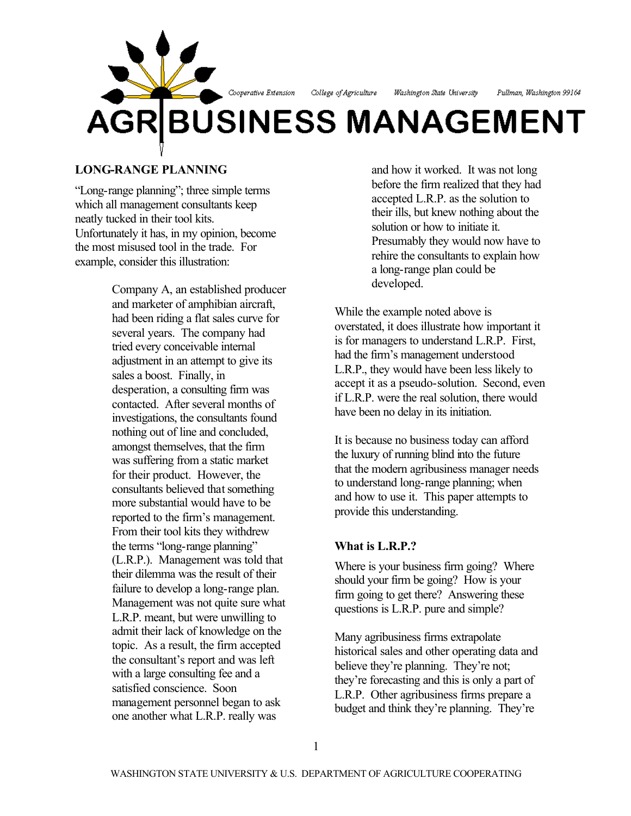

# **LONG-RANGE PLANNING**

"Long-range planning"; three simple terms which all management consultants keep neatly tucked in their tool kits. Unfortunately it has, in my opinion, become the most misused tool in the trade. For example, consider this illustration:

> Company A, an established producer and marketer of amphibian aircraft, had been riding a flat sales curve for several years. The company had tried every conceivable internal adjustment in an attempt to give its sales a boost. Finally, in desperation, a consulting firm was contacted. After several months of investigations, the consultants found nothing out of line and concluded, amongst themselves, that the firm was suffering from a static market for their product. However, the consultants believed that something more substantial would have to be reported to the firm's management. From their tool kits they withdrew the terms "long-range planning" (L.R.P.). Management was told that their dilemma was the result of their failure to develop a long-range plan. Management was not quite sure what L.R.P. meant, but were unwilling to admit their lack of knowledge on the topic. As a result, the firm accepted the consultant's report and was left with a large consulting fee and a satisfied conscience. Soon management personnel began to ask one another what L.R.P. really was

and how it worked. It was not long before the firm realized that they had accepted L.R.P. as the solution to their ills, but knew nothing about the solution or how to initiate it. Presumably they would now have to rehire the consultants to explain how a long-range plan could be developed.

While the example noted above is overstated, it does illustrate how important it is for managers to understand L.R.P. First, had the firm's management understood L.R.P., they would have been less likely to accept it as a pseudo-solution. Second, even if L.R.P. were the real solution, there would have been no delay in its initiation.

It is because no business today can afford the luxury of running blind into the future that the modern agribusiness manager needs to understand long-range planning; when and how to use it. This paper attempts to provide this understanding.

# **What is L.R.P.?**

Where is your business firm going? Where should your firm be going? How is your firm going to get there? Answering these questions is L.R.P. pure and simple?

Many agribusiness firms extrapolate historical sales and other operating data and believe they're planning. They're not; they're forecasting and this is only a part of L.R.P. Other agribusiness firms prepare a budget and think they're planning. They're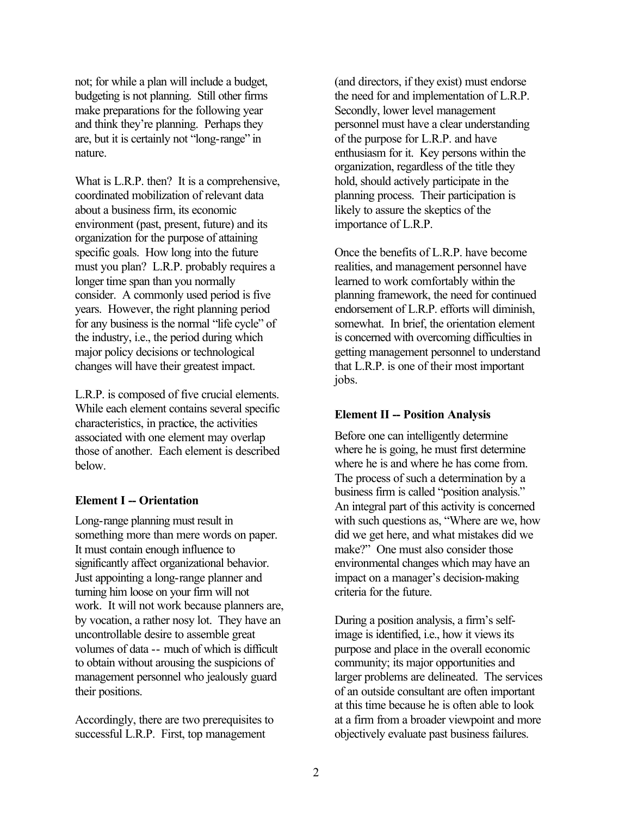not; for while a plan will include a budget, budgeting is not planning. Still other firms make preparations for the following year and think they're planning. Perhaps they are, but it is certainly not "long-range" in nature.

What is L.R.P. then? It is a comprehensive, coordinated mobilization of relevant data about a business firm, its economic environment (past, present, future) and its organization for the purpose of attaining specific goals. How long into the future must you plan? L.R.P. probably requires a longer time span than you normally consider. A commonly used period is five years. However, the right planning period for any business is the normal "life cycle" of the industry, i.e., the period during which major policy decisions or technological changes will have their greatest impact.

L.R.P. is composed of five crucial elements. While each element contains several specific characteristics, in practice, the activities associated with one element may overlap those of another. Each element is described below.

#### **Element I -- Orientation**

Long-range planning must result in something more than mere words on paper. It must contain enough influence to significantly affect organizational behavior. Just appointing a long-range planner and turning him loose on your firm will not work. It will not work because planners are, by vocation, a rather nosy lot. They have an uncontrollable desire to assemble great volumes of data -- much of which is difficult to obtain without arousing the suspicions of management personnel who jealously guard their positions.

Accordingly, there are two prerequisites to successful L.R.P. First, top management

(and directors, if they exist) must endorse the need for and implementation of L.R.P. Secondly, lower level management personnel must have a clear understanding of the purpose for L.R.P. and have enthusiasm for it. Key persons within the organization, regardless of the title they hold, should actively participate in the planning process. Their participation is likely to assure the skeptics of the importance of L.R.P.

Once the benefits of L.R.P. have become realities, and management personnel have learned to work comfortably within the planning framework, the need for continued endorsement of L.R.P. efforts will diminish, somewhat. In brief, the orientation element is concerned with overcoming difficulties in getting management personnel to understand that L.R.P. is one of their most important jobs.

# **Element II -- Position Analysis**

Before one can intelligently determine where he is going, he must first determine where he is and where he has come from. The process of such a determination by a business firm is called "position analysis." An integral part of this activity is concerned with such questions as, "Where are we, how did we get here, and what mistakes did we make?" One must also consider those environmental changes which may have an impact on a manager's decision-making criteria for the future.

During a position analysis, a firm's selfimage is identified, i.e., how it views its purpose and place in the overall economic community; its major opportunities and larger problems are delineated. The services of an outside consultant are often important at this time because he is often able to look at a firm from a broader viewpoint and more objectively evaluate past business failures.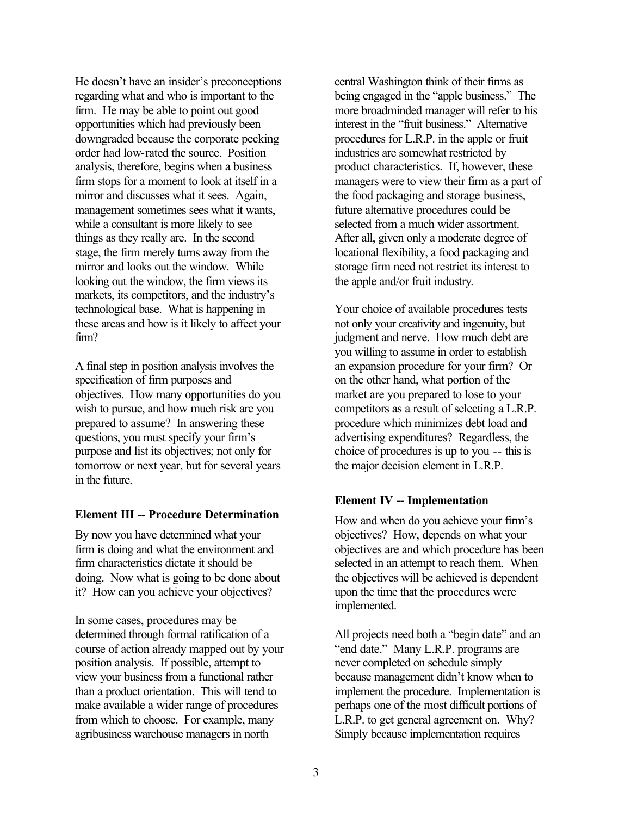He doesn't have an insider's preconceptions regarding what and who is important to the firm. He may be able to point out good opportunities which had previously been downgraded because the corporate pecking order had low-rated the source. Position analysis, therefore, begins when a business firm stops for a moment to look at itself in a mirror and discusses what it sees. Again, management sometimes sees what it wants, while a consultant is more likely to see things as they really are. In the second stage, the firm merely turns away from the mirror and looks out the window. While looking out the window, the firm views its markets, its competitors, and the industry's technological base. What is happening in these areas and how is it likely to affect your firm?

A final step in position analysis involves the specification of firm purposes and objectives. How many opportunities do you wish to pursue, and how much risk are you prepared to assume? In answering these questions, you must specify your firm's purpose and list its objectives; not only for tomorrow or next year, but for several years in the future.

# **Element III -- Procedure Determination**

By now you have determined what your firm is doing and what the environment and firm characteristics dictate it should be doing. Now what is going to be done about it? How can you achieve your objectives?

In some cases, procedures may be determined through formal ratification of a course of action already mapped out by your position analysis. If possible, attempt to view your business from a functional rather than a product orientation. This will tend to make available a wider range of procedures from which to choose. For example, many agribusiness warehouse managers in north

central Washington think of their firms as being engaged in the "apple business." The more broadminded manager will refer to his interest in the "fruit business." Alternative procedures for L.R.P. in the apple or fruit industries are somewhat restricted by product characteristics. If, however, these managers were to view their firm as a part of the food packaging and storage business, future alternative procedures could be selected from a much wider assortment. After all, given only a moderate degree of locational flexibility, a food packaging and storage firm need not restrict its interest to the apple and/or fruit industry.

Your choice of available procedures tests not only your creativity and ingenuity, but judgment and nerve. How much debt are you willing to assume in order to establish an expansion procedure for your firm? Or on the other hand, what portion of the market are you prepared to lose to your competitors as a result of selecting a L.R.P. procedure which minimizes debt load and advertising expenditures? Regardless, the choice of procedures is up to you -- this is the major decision element in L.R.P.

# **Element IV -- Implementation**

How and when do you achieve your firm's objectives? How, depends on what your objectives are and which procedure has been selected in an attempt to reach them. When the objectives will be achieved is dependent upon the time that the procedures were implemented.

All projects need both a "begin date" and an "end date." Many L.R.P. programs are never completed on schedule simply because management didn't know when to implement the procedure. Implementation is perhaps one of the most difficult portions of L.R.P. to get general agreement on. Why? Simply because implementation requires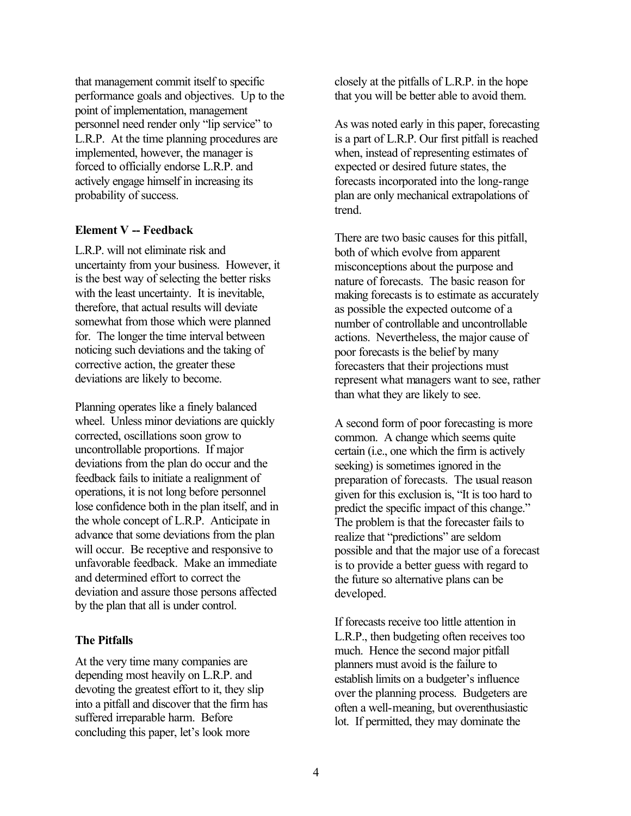that management commit itself to specific performance goals and objectives. Up to the point of implementation, management personnel need render only "lip service" to L.R.P. At the time planning procedures are implemented, however, the manager is forced to officially endorse L.R.P. and actively engage himself in increasing its probability of success.

#### **Element V -- Feedback**

L.R.P. will not eliminate risk and uncertainty from your business. However, it is the best way of selecting the better risks with the least uncertainty. It is inevitable, therefore, that actual results will deviate somewhat from those which were planned for. The longer the time interval between noticing such deviations and the taking of corrective action, the greater these deviations are likely to become.

Planning operates like a finely balanced wheel. Unless minor deviations are quickly corrected, oscillations soon grow to uncontrollable proportions. If major deviations from the plan do occur and the feedback fails to initiate a realignment of operations, it is not long before personnel lose confidence both in the plan itself, and in the whole concept of L.R.P. Anticipate in advance that some deviations from the plan will occur. Be receptive and responsive to unfavorable feedback. Make an immediate and determined effort to correct the deviation and assure those persons affected by the plan that all is under control.

# **The Pitfalls**

At the very time many companies are depending most heavily on L.R.P. and devoting the greatest effort to it, they slip into a pitfall and discover that the firm has suffered irreparable harm. Before concluding this paper, let's look more

closely at the pitfalls of L.R.P. in the hope that you will be better able to avoid them.

As was noted early in this paper, forecasting is a part of L.R.P. Our first pitfall is reached when, instead of representing estimates of expected or desired future states, the forecasts incorporated into the long-range plan are only mechanical extrapolations of trend.

There are two basic causes for this pitfall, both of which evolve from apparent misconceptions about the purpose and nature of forecasts. The basic reason for making forecasts is to estimate as accurately as possible the expected outcome of a number of controllable and uncontrollable actions. Nevertheless, the major cause of poor forecasts is the belief by many forecasters that their projections must represent what managers want to see, rather than what they are likely to see.

A second form of poor forecasting is more common. A change which seems quite certain (i.e., one which the firm is actively seeking) is sometimes ignored in the preparation of forecasts. The usual reason given for this exclusion is, "It is too hard to predict the specific impact of this change." The problem is that the forecaster fails to realize that "predictions" are seldom possible and that the major use of a forecast is to provide a better guess with regard to the future so alternative plans can be developed.

If forecasts receive too little attention in L.R.P., then budgeting often receives too much. Hence the second major pitfall planners must avoid is the failure to establish limits on a budgeter's influence over the planning process. Budgeters are often a well-meaning, but overenthusiastic lot. If permitted, they may dominate the